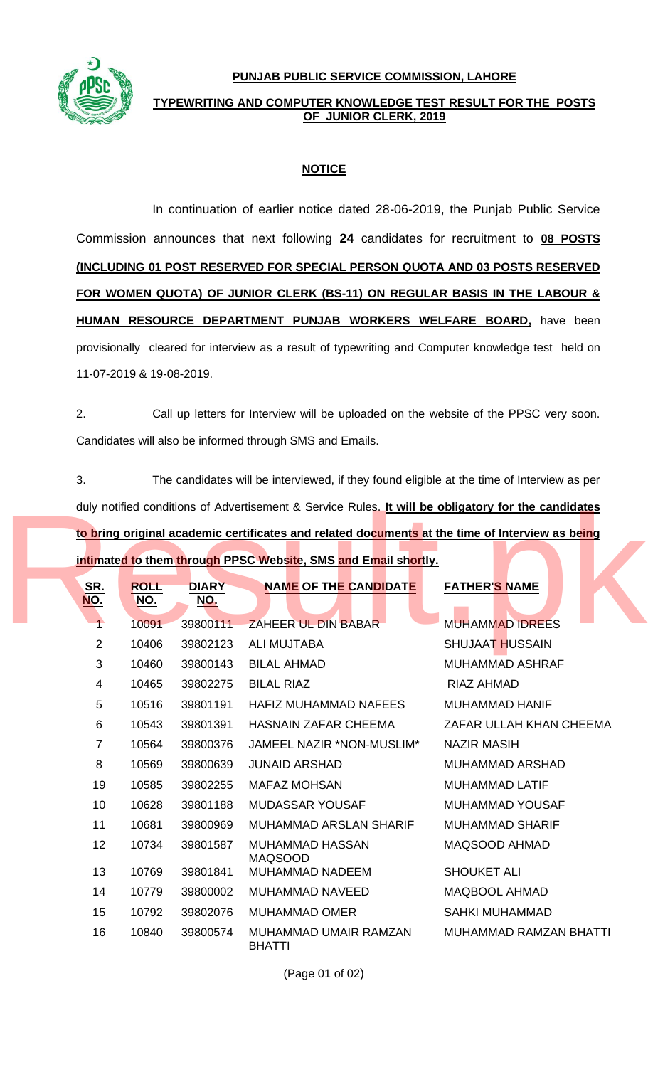**PUNJAB PUBLIC SERVICE COMMISSION, LAHORE**



## **TYPEWRITING AND COMPUTER KNOWLEDGE TEST RESULT FOR THE POSTS OF JUNIOR CLERK, 2019**

## **NOTICE**

In continuation of earlier notice dated 28-06-2019, the Punjab Public Service Commission announces that next following **24** candidates for recruitment to **08 POSTS (INCLUDING 01 POST RESERVED FOR SPECIAL PERSON QUOTA AND 03 POSTS RESERVED FOR WOMEN QUOTA) OF JUNIOR CLERK (BS-11) ON REGULAR BASIS IN THE LABOUR & HUMAN RESOURCE DEPARTMENT PUNJAB WORKERS WELFARE BOARD,** have been provisionally cleared for interview as a result of typewriting and Computer knowledge test held on 11-07-2019 & 19-08-2019.

2. Call up letters for Interview will be uploaded on the website of the PPSC very soon. Candidates will also be informed through SMS and Emails.

3. The candidates will be interviewed, if they found eligible at the time of Interview as per duly notified conditions of Advertisement & Service Rules. **It will be obligatory for the candidates to bring original academic certificates and related documents at the time of Interview as being intimated to them through PPSC Website, SMS and Email shortly.**

| duly notified conditions of Advertisement & Service Rules. It will be obligatory for the candidates |                           |                            |                                        |                               |  |  |  |  |
|-----------------------------------------------------------------------------------------------------|---------------------------|----------------------------|----------------------------------------|-------------------------------|--|--|--|--|
| to bring original academic certificates and related documents at the time of Interview as being     |                           |                            |                                        |                               |  |  |  |  |
| intimated to them through PPSC Website, SMS and Email shortly.                                      |                           |                            |                                        |                               |  |  |  |  |
| <u>SR.</u><br><u>NO.</u>                                                                            | <b>ROLL</b><br><u>NO.</u> | <b>DIARY</b><br><u>NO.</u> | <b>NAME OF THE CANDIDATE</b>           | <b>FATHER'S NAME</b>          |  |  |  |  |
| $\uparrow$                                                                                          | 10091                     | 39800111                   | ZAHEER UL DIN BABAR                    | <b>MUHAMMAD IDREES</b>        |  |  |  |  |
| 2                                                                                                   | 10406                     | 39802123                   | ALI MUJTABA                            | <b>SHUJAAT HUSSAIN</b>        |  |  |  |  |
| 3                                                                                                   | 10460                     | 39800143                   | <b>BILAL AHMAD</b>                     | <b>MUHAMMAD ASHRAF</b>        |  |  |  |  |
| $\overline{\mathbf{4}}$                                                                             | 10465                     | 39802275                   | <b>BILAL RIAZ</b>                      | <b>RIAZ AHMAD</b>             |  |  |  |  |
| 5                                                                                                   | 10516                     | 39801191                   | <b>HAFIZ MUHAMMAD NAFEES</b>           | <b>MUHAMMAD HANIF</b>         |  |  |  |  |
| 6                                                                                                   | 10543                     | 39801391                   | <b>HASNAIN ZAFAR CHEEMA</b>            | ZAFAR ULLAH KHAN CHEEMA       |  |  |  |  |
| $\overline{7}$                                                                                      | 10564                     | 39800376                   | JAMEEL NAZIR *NON-MUSLIM*              | <b>NAZIR MASIH</b>            |  |  |  |  |
| 8                                                                                                   | 10569                     | 39800639                   | <b>JUNAID ARSHAD</b>                   | <b>MUHAMMAD ARSHAD</b>        |  |  |  |  |
| 19                                                                                                  | 10585                     | 39802255                   | <b>MAFAZ MOHSAN</b>                    | <b>MUHAMMAD LATIF</b>         |  |  |  |  |
| 10 <sup>°</sup>                                                                                     | 10628                     | 39801188                   | MUDASSAR YOUSAF                        | MUHAMMAD YOUSAF               |  |  |  |  |
| 11                                                                                                  | 10681                     | 39800969                   | MUHAMMAD ARSLAN SHARIF                 | <b>MUHAMMAD SHARIF</b>        |  |  |  |  |
| 12 <sup>°</sup>                                                                                     | 10734                     | 39801587                   | MUHAMMAD HASSAN<br><b>MAQSOOD</b>      | MAQSOOD AHMAD                 |  |  |  |  |
| 13                                                                                                  | 10769                     | 39801841                   | MUHAMMAD NADEEM                        | <b>SHOUKET ALI</b>            |  |  |  |  |
| 14                                                                                                  | 10779                     | 39800002                   | MUHAMMAD NAVEED                        | <b>MAQBOOL AHMAD</b>          |  |  |  |  |
| 15                                                                                                  | 10792                     | 39802076                   | <b>MUHAMMAD OMER</b>                   | <b>SAHKI MUHAMMAD</b>         |  |  |  |  |
| 16                                                                                                  | 10840                     | 39800574                   | MUHAMMAD UMAIR RAMZAN<br><b>BHATTI</b> | <b>MUHAMMAD RAMZAN BHATTI</b> |  |  |  |  |

(Page 01 of 02)